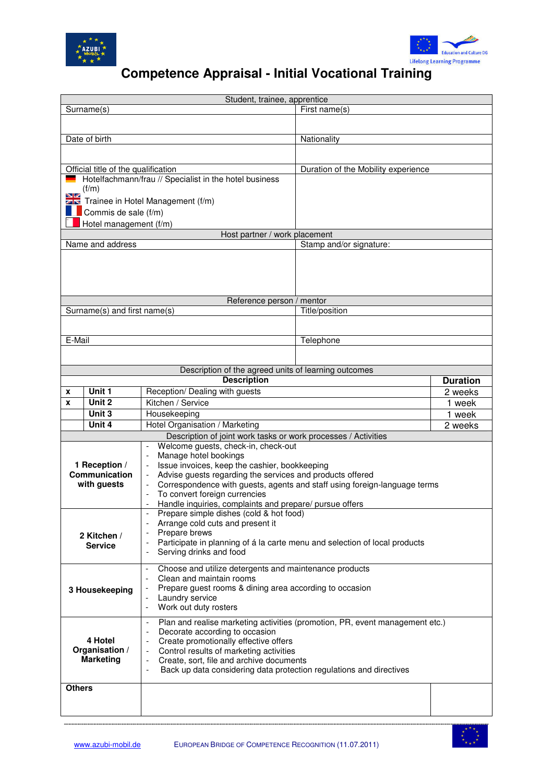

 $\overline{\phantom{a}}$ 



## **Competence Appraisal - Initial Vocational Training**

| Student, trainee, apprentice                   |                                     |                                                                                                                |                                     |                 |  |  |  |  |  |
|------------------------------------------------|-------------------------------------|----------------------------------------------------------------------------------------------------------------|-------------------------------------|-----------------|--|--|--|--|--|
| First name(s)<br>Surname(s)                    |                                     |                                                                                                                |                                     |                 |  |  |  |  |  |
|                                                |                                     |                                                                                                                |                                     |                 |  |  |  |  |  |
|                                                |                                     |                                                                                                                |                                     |                 |  |  |  |  |  |
|                                                | Date of birth                       |                                                                                                                | Nationality                         |                 |  |  |  |  |  |
|                                                |                                     |                                                                                                                |                                     |                 |  |  |  |  |  |
|                                                | Official title of the qualification |                                                                                                                | Duration of the Mobility experience |                 |  |  |  |  |  |
|                                                |                                     | Hotelfachmann/frau // Specialist in the hotel business                                                         |                                     |                 |  |  |  |  |  |
|                                                | (f/m)                               |                                                                                                                |                                     |                 |  |  |  |  |  |
| שפ                                             |                                     | Trainee in Hotel Management (f/m)                                                                              |                                     |                 |  |  |  |  |  |
|                                                |                                     |                                                                                                                |                                     |                 |  |  |  |  |  |
| Commis de sale (f/m)<br>Hotel management (f/m) |                                     |                                                                                                                |                                     |                 |  |  |  |  |  |
|                                                |                                     | Host partner / work placement                                                                                  |                                     |                 |  |  |  |  |  |
|                                                | Name and address                    |                                                                                                                | Stamp and/or signature:             |                 |  |  |  |  |  |
|                                                |                                     |                                                                                                                |                                     |                 |  |  |  |  |  |
|                                                |                                     |                                                                                                                |                                     |                 |  |  |  |  |  |
|                                                |                                     |                                                                                                                |                                     |                 |  |  |  |  |  |
|                                                |                                     |                                                                                                                |                                     |                 |  |  |  |  |  |
|                                                |                                     | Reference person / mentor                                                                                      |                                     |                 |  |  |  |  |  |
|                                                | Surname(s) and first name(s)        |                                                                                                                | Title/position                      |                 |  |  |  |  |  |
|                                                |                                     |                                                                                                                |                                     |                 |  |  |  |  |  |
|                                                |                                     |                                                                                                                |                                     |                 |  |  |  |  |  |
| E-Mail                                         |                                     |                                                                                                                | Telephone                           |                 |  |  |  |  |  |
|                                                |                                     |                                                                                                                |                                     |                 |  |  |  |  |  |
|                                                |                                     |                                                                                                                |                                     |                 |  |  |  |  |  |
|                                                |                                     | Description of the agreed units of learning outcomes                                                           |                                     |                 |  |  |  |  |  |
|                                                |                                     | <b>Description</b>                                                                                             |                                     | <b>Duration</b> |  |  |  |  |  |
| X                                              | Unit 1                              | Reception/ Dealing with guests                                                                                 |                                     | 2 weeks         |  |  |  |  |  |
| X                                              | Unit 2                              | Kitchen / Service                                                                                              |                                     | 1 week          |  |  |  |  |  |
|                                                | Unit 3                              | Housekeeping                                                                                                   |                                     | 1 week          |  |  |  |  |  |
|                                                | Unit 4                              | Hotel Organisation / Marketing                                                                                 |                                     | 2 weeks         |  |  |  |  |  |
|                                                |                                     | Description of joint work tasks or work processes / Activities                                                 |                                     |                 |  |  |  |  |  |
|                                                |                                     | Welcome guests, check-in, check-out                                                                            |                                     |                 |  |  |  |  |  |
|                                                | 1 Reception /                       | Manage hotel bookings<br>Issue invoices, keep the cashier, bookkeeping                                         |                                     |                 |  |  |  |  |  |
|                                                | Communication                       | Advise guests regarding the services and products offered                                                      |                                     |                 |  |  |  |  |  |
| with guests                                    |                                     | Correspondence with guests, agents and staff using foreign-language terms                                      |                                     |                 |  |  |  |  |  |
|                                                |                                     | To convert foreign currencies                                                                                  |                                     |                 |  |  |  |  |  |
|                                                |                                     | Handle inquiries, complaints and prepare/ pursue offers                                                        |                                     |                 |  |  |  |  |  |
|                                                |                                     | Prepare simple dishes (cold & hot food)                                                                        |                                     |                 |  |  |  |  |  |
| 2 Kitchen /<br><b>Service</b>                  |                                     | Arrange cold cuts and present it<br>Prepare brews                                                              |                                     |                 |  |  |  |  |  |
|                                                |                                     | Participate in planning of á la carte menu and selection of local products                                     |                                     |                 |  |  |  |  |  |
|                                                |                                     | Serving drinks and food                                                                                        |                                     |                 |  |  |  |  |  |
|                                                |                                     |                                                                                                                |                                     |                 |  |  |  |  |  |
|                                                |                                     | Choose and utilize detergents and maintenance products<br>$\overline{\phantom{a}}$                             |                                     |                 |  |  |  |  |  |
| 3 Housekeeping                                 |                                     | Clean and maintain rooms<br>Prepare guest rooms & dining area according to occasion                            |                                     |                 |  |  |  |  |  |
|                                                |                                     | Laundry service<br>$\overline{\phantom{a}}$                                                                    |                                     |                 |  |  |  |  |  |
|                                                |                                     | Work out duty rosters<br>$\overline{\phantom{a}}$                                                              |                                     |                 |  |  |  |  |  |
|                                                |                                     |                                                                                                                |                                     |                 |  |  |  |  |  |
| 4 Hotel<br>Organisation /<br><b>Marketing</b>  |                                     | Plan and realise marketing activities (promotion, PR, event management etc.)<br>Decorate according to occasion |                                     |                 |  |  |  |  |  |
|                                                |                                     | Create promotionally effective offers<br>$\qquad \qquad \blacksquare$                                          |                                     |                 |  |  |  |  |  |
|                                                |                                     | Control results of marketing activities<br>$\qquad \qquad -$                                                   |                                     |                 |  |  |  |  |  |
|                                                |                                     | Create, sort, file and archive documents<br>$\qquad \qquad \blacksquare$                                       |                                     |                 |  |  |  |  |  |
|                                                |                                     | Back up data considering data protection regulations and directives<br>$\overline{a}$                          |                                     |                 |  |  |  |  |  |
| <b>Others</b>                                  |                                     |                                                                                                                |                                     |                 |  |  |  |  |  |
|                                                |                                     |                                                                                                                |                                     |                 |  |  |  |  |  |
|                                                |                                     |                                                                                                                |                                     |                 |  |  |  |  |  |
|                                                |                                     |                                                                                                                |                                     |                 |  |  |  |  |  |